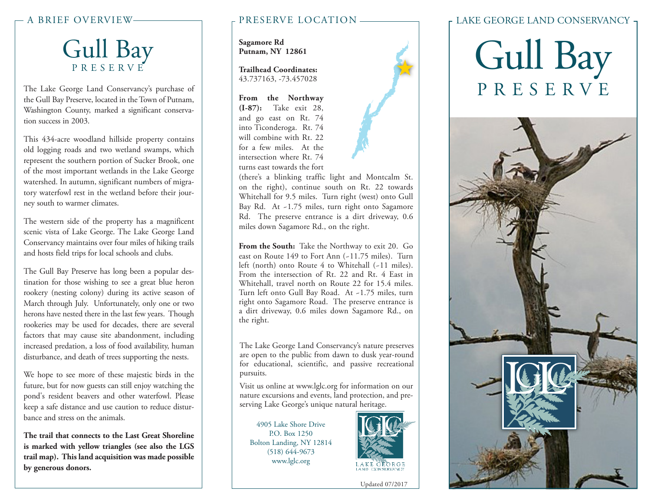## Gull Bay PRESERVE

The Lake George Land Conservancy's purchase of the Gull Bay Preserve, located in the Town of Putnam, Washington County, marked a significant conservation success in 2003.

This 434-acre woodland hillside property contains old logging roads and two wetland swamps, which represent the southern portion of Sucker Brook, one of the most important wetlands in the Lake George watershed. In autumn, significant numbers of migratory waterfowl rest in the wetland before their journey south to warmer climates.

The western side of the property has a magnificent scenic vista of Lake George. The Lake George Land Conservancy maintains over four miles of hiking trails and hosts field trips for local schools and clubs.

The Gull Bay Preserve has long been a popular destination for those wishing to see a great blue heron rookery (nesting colony) during its active season of March through July. Unfortunately, only one or two herons have nested there in the last few years. Though rookeries may be used for decades, there are several factors that may cause site abandonment, including increased predation, a loss of food availability, human disturbance, and death of trees supporting the nests.

We hope to see more of these majestic birds in the future, but for now guests can still enjoy watching the pond's resident beavers and other waterfowl. Please keep a safe distance and use caution to reduce disturbance and stress on the animals.

**The trail that connects to the Last Great Shoreline is marked with yellow triangles (see also the LGS trail map). This land acquisition was made possible by generous donors.**

### A BRIEF OVERVIEW PRESERVE LOCATION

**Sagamore Rd Putnam, NY 12861**

**Trailhead Coordinates:** 43.737163, -73.457028

**From the Northway (I-87):** Take exit 28, and go east on Rt. 74 into Ticonderoga. Rt. 74 will combine with Rt. 22 for a few miles. At the intersection where Rt. 74 turns east towards the fort



(there's a blinking traffic light and Montcalm St. on the right), continue south on Rt. 22 towards Whitehall for 9.5 miles. Turn right (west) onto Gull Bay Rd. At ~1.75 miles, turn right onto Sagamore Rd. The preserve entrance is a dirt driveway, 0.6 miles down Sagamore Rd., on the right.

**From the South:** Take the Northway to exit 20. Go east on Route 149 to Fort Ann (~11.75 miles). Turn left (north) onto Route 4 to Whitehall (~11 miles). From the intersection of Rt. 22 and Rt. 4 East in Whitehall, travel north on Route 22 for 15.4 miles. Turn left onto Gull Bay Road. At ~1.75 miles, turn right onto Sagamore Road. The preserve entrance is a dirt driveway, 0.6 miles down Sagamore Rd., on the right.

The Lake George Land Conservancy's nature preserves are open to the public from dawn to dusk year-round for educational, scientific, and passive recreational pursuits.

Visit us online at www.lglc.org for information on our nature excursions and events, land protection, and preserving Lake George's unique natural heritage.

4905 Lake Shore Drive P.O. Box 1250 Bolton Landing, NY 12814 (518) 644-9673 www.lglc.org



Updated 07/2017

### LAKE GEORGE LAND CONSERVANCY

# Gull Bay PRESERVE